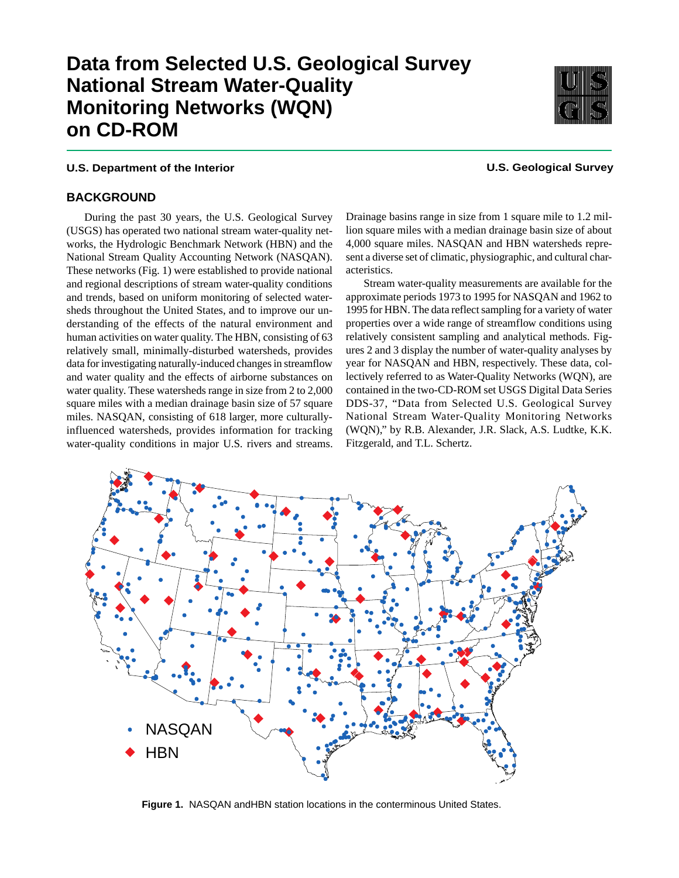# **Data from Selected U.S. Geological Survey National Stream Water-Quality Monitoring Networks (WQN) on CD-ROM**

## **U.S. Department of the Interior U.S. Geological Survey**

#### **BACKGROUND**

During the past 30 years, the U.S. Geological Survey (USGS) has operated two national stream water-quality networks, the Hydrologic Benchmark Network (HBN) and the National Stream Quality Accounting Network (NASQAN). These networks (Fig. 1) were established to provide national and regional descriptions of stream water-quality conditions and trends, based on uniform monitoring of selected watersheds throughout the United States, and to improve our understanding of the effects of the natural environment and human activities on water quality. The HBN, consisting of 63 relatively small, minimally-disturbed watersheds, provides data for investigating naturally-induced changes in streamflow and water quality and the effects of airborne substances on water quality. These watersheds range in size from 2 to 2,000 square miles with a median drainage basin size of 57 square miles. NASQAN, consisting of 618 larger, more culturallyinfluenced watersheds, provides information for tracking water-quality conditions in major U.S. rivers and streams. Drainage basins range in size from 1 square mile to 1.2 million square miles with a median drainage basin size of about 4,000 square miles. NASQAN and HBN watersheds represent a diverse set of climatic, physiographic, and cultural characteristics.

Stream water-quality measurements are available for the approximate periods 1973 to 1995 for NASQAN and 1962 to 1995 for HBN. The data reflect sampling for a variety of water properties over a wide range of streamflow conditions using relatively consistent sampling and analytical methods. Figures 2 and 3 display the number of water-quality analyses by year for NASQAN and HBN, respectively. These data, collectively referred to as Water-Quality Networks (WQN), are contained in the two-CD-ROM set USGS Digital Data Series DDS-37, "Data from Selected U.S. Geological Survey National Stream Water-Quality Monitoring Networks (WQN)," by R.B. Alexander, J.R. Slack, A.S. Ludtke, K.K. Fitzgerald, and T.L. Schertz.



Figure 1. NASQAN and HBN station locations in the conterminous United States.